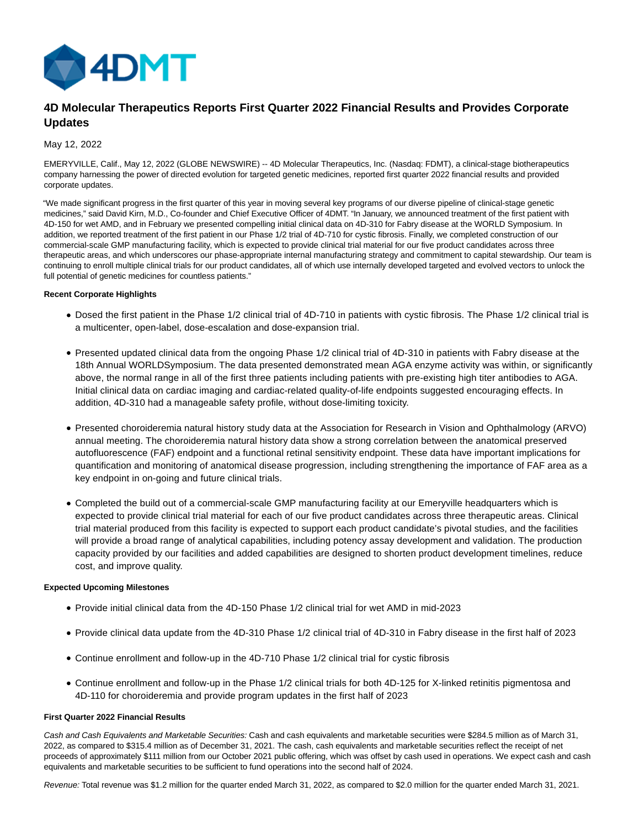

# **4D Molecular Therapeutics Reports First Quarter 2022 Financial Results and Provides Corporate Updates**

## May 12, 2022

EMERYVILLE, Calif., May 12, 2022 (GLOBE NEWSWIRE) -- 4D Molecular Therapeutics, Inc. (Nasdaq: FDMT), a clinical-stage biotherapeutics company harnessing the power of directed evolution for targeted genetic medicines, reported first quarter 2022 financial results and provided corporate updates.

"We made significant progress in the first quarter of this year in moving several key programs of our diverse pipeline of clinical-stage genetic medicines," said David Kirn, M.D., Co-founder and Chief Executive Officer of 4DMT. "In January, we announced treatment of the first patient with 4D-150 for wet AMD, and in February we presented compelling initial clinical data on 4D-310 for Fabry disease at the WORLD Symposium. In addition, we reported treatment of the first patient in our Phase 1/2 trial of 4D-710 for cystic fibrosis. Finally, we completed construction of our commercial-scale GMP manufacturing facility, which is expected to provide clinical trial material for our five product candidates across three therapeutic areas, and which underscores our phase-appropriate internal manufacturing strategy and commitment to capital stewardship. Our team is continuing to enroll multiple clinical trials for our product candidates, all of which use internally developed targeted and evolved vectors to unlock the full potential of genetic medicines for countless patients."

## **Recent Corporate Highlights**

- Dosed the first patient in the Phase 1/2 clinical trial of 4D-710 in patients with cystic fibrosis. The Phase 1/2 clinical trial is a multicenter, open-label, dose-escalation and dose-expansion trial.
- Presented updated clinical data from the ongoing Phase 1/2 clinical trial of 4D-310 in patients with Fabry disease at the 18th Annual WORLDSymposium. The data presented demonstrated mean AGA enzyme activity was within, or significantly above, the normal range in all of the first three patients including patients with pre-existing high titer antibodies to AGA. Initial clinical data on cardiac imaging and cardiac-related quality-of-life endpoints suggested encouraging effects. In addition, 4D-310 had a manageable safety profile, without dose-limiting toxicity.
- Presented choroideremia natural history study data at the Association for Research in Vision and Ophthalmology (ARVO) annual meeting. The choroideremia natural history data show a strong correlation between the anatomical preserved autofluorescence (FAF) endpoint and a functional retinal sensitivity endpoint. These data have important implications for quantification and monitoring of anatomical disease progression, including strengthening the importance of FAF area as a key endpoint in on-going and future clinical trials.
- Completed the build out of a commercial-scale GMP manufacturing facility at our Emeryville headquarters which is expected to provide clinical trial material for each of our five product candidates across three therapeutic areas. Clinical trial material produced from this facility is expected to support each product candidate's pivotal studies, and the facilities will provide a broad range of analytical capabilities, including potency assay development and validation. The production capacity provided by our facilities and added capabilities are designed to shorten product development timelines, reduce cost, and improve quality.

## **Expected Upcoming Milestones**

- Provide initial clinical data from the 4D-150 Phase 1/2 clinical trial for wet AMD in mid-2023
- Provide clinical data update from the 4D-310 Phase 1/2 clinical trial of 4D-310 in Fabry disease in the first half of 2023
- Continue enrollment and follow-up in the 4D-710 Phase 1/2 clinical trial for cystic fibrosis
- Continue enrollment and follow-up in the Phase 1/2 clinical trials for both 4D-125 for X-linked retinitis pigmentosa and 4D-110 for choroideremia and provide program updates in the first half of 2023

## **First Quarter 2022 Financial Results**

Cash and Cash Equivalents and Marketable Securities: Cash and cash equivalents and marketable securities were \$284.5 million as of March 31, 2022, as compared to \$315.4 million as of December 31, 2021. The cash, cash equivalents and marketable securities reflect the receipt of net proceeds of approximately \$111 million from our October 2021 public offering, which was offset by cash used in operations. We expect cash and cash equivalents and marketable securities to be sufficient to fund operations into the second half of 2024.

Revenue: Total revenue was \$1.2 million for the quarter ended March 31, 2022, as compared to \$2.0 million for the quarter ended March 31, 2021.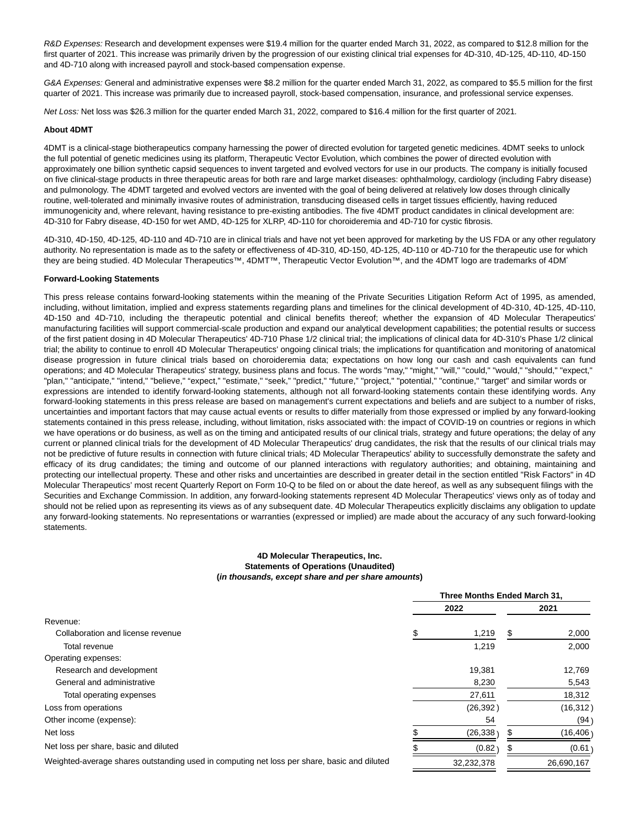R&D Expenses: Research and development expenses were \$19.4 million for the quarter ended March 31, 2022, as compared to \$12.8 million for the first quarter of 2021. This increase was primarily driven by the progression of our existing clinical trial expenses for 4D-310, 4D-125, 4D-110, 4D-150 and 4D-710 along with increased payroll and stock-based compensation expense.

G&A Expenses: General and administrative expenses were \$8.2 million for the quarter ended March 31, 2022, as compared to \$5.5 million for the first quarter of 2021. This increase was primarily due to increased payroll, stock-based compensation, insurance, and professional service expenses.

Net Loss: Net loss was \$26.3 million for the quarter ended March 31, 2022, compared to \$16.4 million for the first quarter of 2021.

#### **About 4DMT**

4DMT is a clinical-stage biotherapeutics company harnessing the power of directed evolution for targeted genetic medicines. 4DMT seeks to unlock the full potential of genetic medicines using its platform, Therapeutic Vector Evolution, which combines the power of directed evolution with approximately one billion synthetic capsid sequences to invent targeted and evolved vectors for use in our products. The company is initially focused on five clinical-stage products in three therapeutic areas for both rare and large market diseases: ophthalmology, cardiology (including Fabry disease) and pulmonology. The 4DMT targeted and evolved vectors are invented with the goal of being delivered at relatively low doses through clinically routine, well-tolerated and minimally invasive routes of administration, transducing diseased cells in target tissues efficiently, having reduced immunogenicity and, where relevant, having resistance to pre-existing antibodies. The five 4DMT product candidates in clinical development are: 4D-310 for Fabry disease, 4D-150 for wet AMD, 4D-125 for XLRP, 4D-110 for choroideremia and 4D-710 for cystic fibrosis.

4D-310, 4D-150, 4D-125, 4D-110 and 4D-710 are in clinical trials and have not yet been approved for marketing by the US FDA or any other regulatory authority. No representation is made as to the safety or effectiveness of 4D-310, 4D-150, 4D-125, 4D-110 or 4D-710 for the therapeutic use for which they are being studied. 4D Molecular Therapeutics™, 4DMT™, Therapeutic Vector Evolution™, and the 4DMT logo are trademarks of 4DMT.

#### **Forward-Looking Statements**

This press release contains forward-looking statements within the meaning of the Private Securities Litigation Reform Act of 1995, as amended, including, without limitation, implied and express statements regarding plans and timelines for the clinical development of 4D-310, 4D-125, 4D-110, 4D-150 and 4D-710, including the therapeutic potential and clinical benefits thereof; whether the expansion of 4D Molecular Therapeutics' manufacturing facilities will support commercial-scale production and expand our analytical development capabilities; the potential results or success of the first patient dosing in 4D Molecular Therapeutics' 4D-710 Phase 1/2 clinical trial; the implications of clinical data for 4D-310's Phase 1/2 clinical trial; the ability to continue to enroll 4D Molecular Therapeutics' ongoing clinical trials; the implications for quantification and monitoring of anatomical disease progression in future clinical trials based on choroideremia data; expectations on how long our cash and cash equivalents can fund operations; and 4D Molecular Therapeutics' strategy, business plans and focus. The words "may," "might," "will," "could," "would," "should," "expect," "plan," "anticipate," "intend," "believe," "expect," "estimate," "seek," "predict," "future," "project," "potential," "continue," "target" and similar words or expressions are intended to identify forward-looking statements, although not all forward-looking statements contain these identifying words. Any forward-looking statements in this press release are based on management's current expectations and beliefs and are subject to a number of risks, uncertainties and important factors that may cause actual events or results to differ materially from those expressed or implied by any forward-looking statements contained in this press release, including, without limitation, risks associated with: the impact of COVID-19 on countries or regions in which we have operations or do business, as well as on the timing and anticipated results of our clinical trials, strategy and future operations; the delay of any current or planned clinical trials for the development of 4D Molecular Therapeutics' drug candidates, the risk that the results of our clinical trials may not be predictive of future results in connection with future clinical trials; 4D Molecular Therapeutics' ability to successfully demonstrate the safety and efficacy of its drug candidates; the timing and outcome of our planned interactions with regulatory authorities; and obtaining, maintaining and protecting our intellectual property. These and other risks and uncertainties are described in greater detail in the section entitled "Risk Factors" in 4D Molecular Therapeutics' most recent Quarterly Report on Form 10-Q to be filed on or about the date hereof, as well as any subsequent filings with the Securities and Exchange Commission. In addition, any forward-looking statements represent 4D Molecular Therapeutics' views only as of today and should not be relied upon as representing its views as of any subsequent date. 4D Molecular Therapeutics explicitly disclaims any obligation to update any forward-looking statements. No representations or warranties (expressed or implied) are made about the accuracy of any such forward-looking statements.

#### **4D Molecular Therapeutics, Inc. Statements of Operations (Unaudited) (in thousands, except share and per share amounts)**

|                                       | Three Months Ended March 31, |    |           |  |  |
|---------------------------------------|------------------------------|----|-----------|--|--|
|                                       | 2022                         |    | 2021      |  |  |
| Revenue:                              |                              |    |           |  |  |
| Collaboration and license revenue     | 1,219                        | S. | 2,000     |  |  |
| Total revenue                         | 1,219                        |    | 2,000     |  |  |
| Operating expenses:                   |                              |    |           |  |  |
| Research and development              | 19,381                       |    | 12,769    |  |  |
| General and administrative            | 8,230                        |    | 5,543     |  |  |
| Total operating expenses              | 27,611                       |    | 18,312    |  |  |
| Loss from operations                  | (26, 392)                    |    | (16, 312) |  |  |
| Other income (expense):               | 54                           |    | (94)      |  |  |
| Net loss                              | (26, 338)                    |    | (16, 406) |  |  |
| Net loss per share, basic and diluted | (0.82)                       |    | (0.61)    |  |  |
| $\cdots$<br>$\mathbf{r}$<br>.         |                              |    |           |  |  |

Weighted-average shares outstanding used in computing net loss per share, basic and diluted 32,232,378 26,690,167